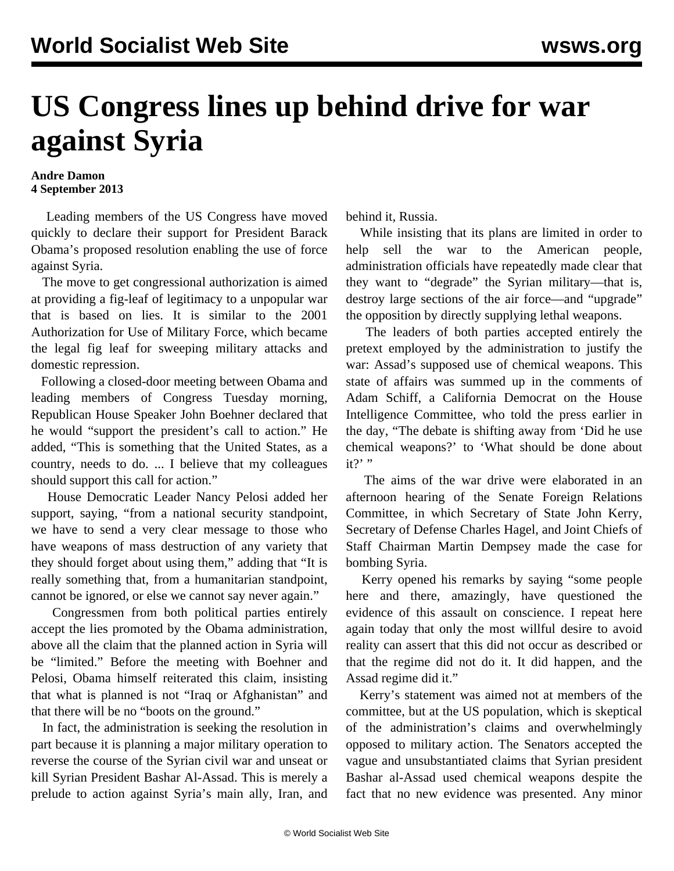## **US Congress lines up behind drive for war against Syria**

## **Andre Damon 4 September 2013**

 Leading members of the US Congress have moved quickly to declare their support for President Barack Obama's proposed resolution enabling the use of force against Syria.

 The move to get congressional authorization is aimed at providing a fig-leaf of legitimacy to a unpopular war that is based on lies. It is similar to the 2001 Authorization for Use of Military Force, which became the legal fig leaf for sweeping military attacks and domestic repression.

 Following a closed-door meeting between Obama and leading members of Congress Tuesday morning, Republican House Speaker John Boehner declared that he would "support the president's call to action." He added, "This is something that the United States, as a country, needs to do. ... I believe that my colleagues should support this call for action."

 House Democratic Leader Nancy Pelosi added her support, saying, "from a national security standpoint, we have to send a very clear message to those who have weapons of mass destruction of any variety that they should forget about using them," adding that "It is really something that, from a humanitarian standpoint, cannot be ignored, or else we cannot say never again."

 Congressmen from both political parties entirely accept the lies promoted by the Obama administration, above all the claim that the planned action in Syria will be "limited." Before the meeting with Boehner and Pelosi, Obama himself reiterated this claim, insisting that what is planned is not "Iraq or Afghanistan" and that there will be no "boots on the ground."

 In fact, the administration is seeking the resolution in part because it is planning a major military operation to reverse the course of the Syrian civil war and unseat or kill Syrian President Bashar Al-Assad. This is merely a prelude to action against Syria's main ally, Iran, and

behind it, Russia.

 While insisting that its plans are limited in order to help sell the war to the American people, administration officials have repeatedly made clear that they want to "degrade" the Syrian military—that is, destroy large sections of the air force—and "upgrade" the opposition by directly supplying lethal weapons.

 The leaders of both parties accepted entirely the pretext employed by the administration to justify the war: Assad's supposed use of chemical weapons. This state of affairs was summed up in the comments of Adam Schiff, a California Democrat on the House Intelligence Committee, who told the press earlier in the day, "The debate is shifting away from 'Did he use chemical weapons?' to 'What should be done about it?' "

 The aims of the war drive were elaborated in an afternoon hearing of the Senate Foreign Relations Committee, in which Secretary of State John Kerry, Secretary of Defense Charles Hagel, and Joint Chiefs of Staff Chairman Martin Dempsey made the case for bombing Syria.

 Kerry opened his remarks by saying "some people here and there, amazingly, have questioned the evidence of this assault on conscience. I repeat here again today that only the most willful desire to avoid reality can assert that this did not occur as described or that the regime did not do it. It did happen, and the Assad regime did it."

 Kerry's statement was aimed not at members of the committee, but at the US population, which is skeptical of the administration's claims and overwhelmingly opposed to military action. The Senators accepted the vague and unsubstantiated claims that Syrian president Bashar al-Assad used chemical weapons despite the fact that no new evidence was presented. Any minor